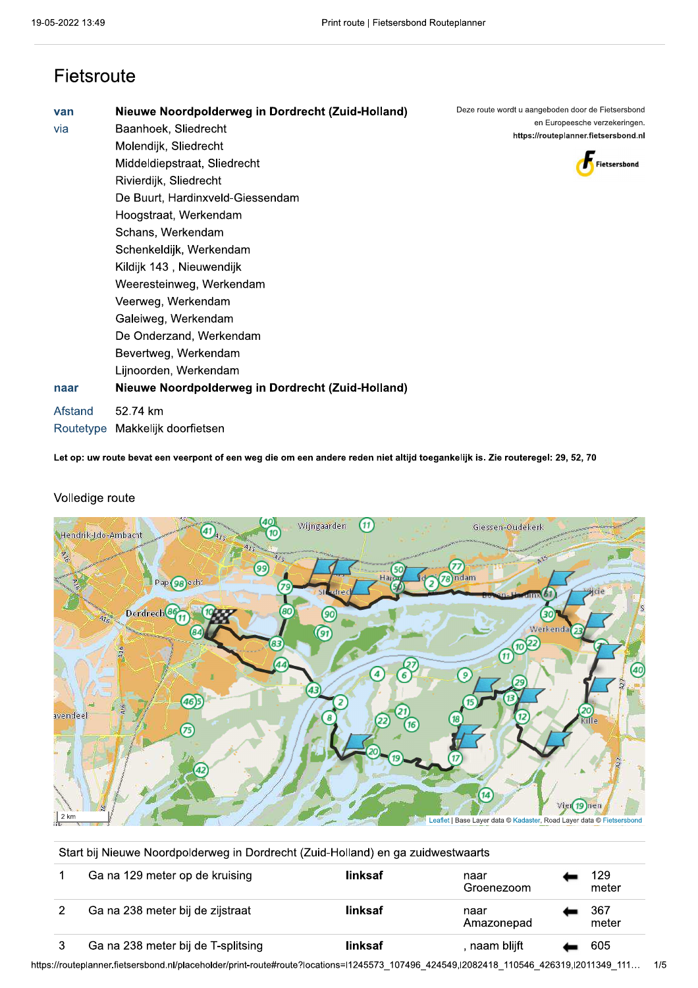### Fietsroute

| van       | Nieuwe Noordpolderweg in Dordrecht (Zuid-Holland) |
|-----------|---------------------------------------------------|
| via       | Baanhoek, Sliedrecht                              |
|           | Molendijk, Sliedrecht                             |
|           | Middeldiepstraat, Sliedrecht                      |
|           | Rivierdijk, Sliedrecht                            |
|           | De Buurt, Hardinxveld-Giessendam                  |
|           | Hoogstraat, Werkendam                             |
|           | Schans, Werkendam                                 |
|           | Schenkeldijk, Werkendam                           |
|           | Kildijk 143, Nieuwendijk                          |
|           | Weeresteinweg, Werkendam                          |
|           | Veerweg, Werkendam                                |
|           | Galeiweg, Werkendam                               |
|           | De Onderzand, Werkendam                           |
|           | Bevertweg, Werkendam                              |
|           | Lijnoorden, Werkendam                             |
| naar      | Nieuwe Noordpolderweg in Dordrecht (Zuid-Holland) |
| Afstand   | 52.74 km                                          |
| Routetype | Makkelijk doorfietsen                             |

Deze route wordt u aangeboden door de Fietsersbond en Europeesche verzekeringen. https://routeplanner.fietsersbond.nl



Let op: uw route bevat een veerpont of een weg die om een andere reden niet altijd toegankelijk is. Zie routeregel: 29, 52, 70



#### Volledige route

Leaflet | Base Layer data © Kadaster, Road Layer data © Fietsersbond

| Start bij Nieuwe Noordpolderweg in Dordrecht (Zuid-Holland) en ga zuidwestwaarts |                                    |         |                    |  |              |  |  |
|----------------------------------------------------------------------------------|------------------------------------|---------|--------------------|--|--------------|--|--|
|                                                                                  | Ga na 129 meter op de kruising     | linksaf | naar<br>Groenezoom |  | 129<br>meter |  |  |
|                                                                                  | Ga na 238 meter bij de zijstraat   | linksaf | naar<br>Amazonepad |  | 367<br>meter |  |  |
|                                                                                  | Ga na 238 meter bij de T-splitsing | linksaf | , naam blijft      |  | 605          |  |  |

https://routeplanner.fietsersbond.nl/placeholder/print-route#route?locations=l1245573\_107496\_424549,l2082418\_110546\_426319,l2011349\_111...  $1/5$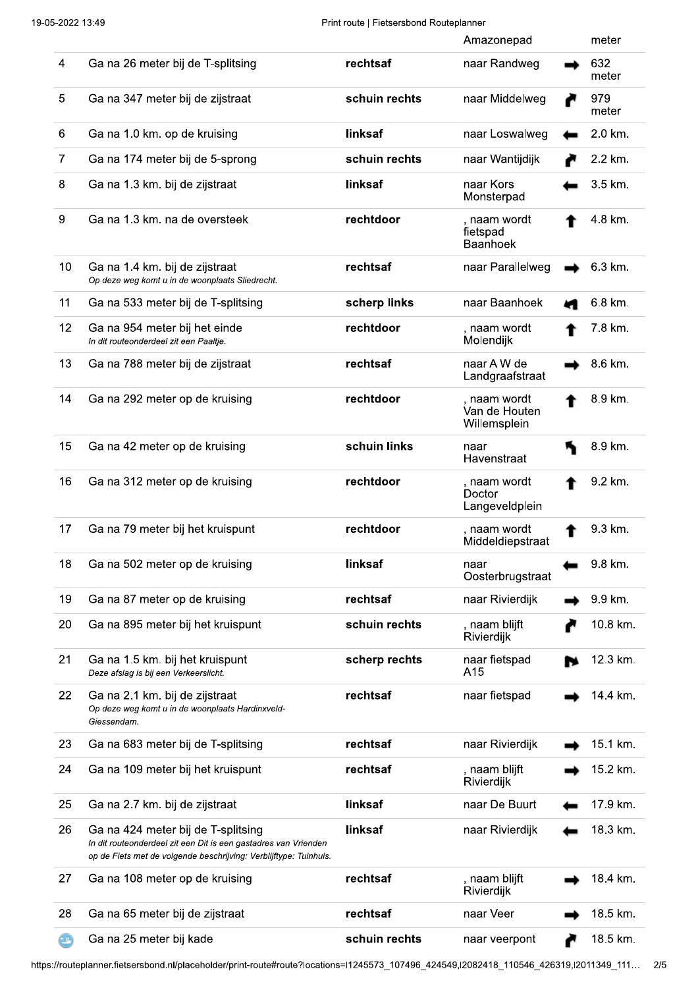|       |                                                                                                                                                                            |               | Amazonepad                                    | meter        |
|-------|----------------------------------------------------------------------------------------------------------------------------------------------------------------------------|---------------|-----------------------------------------------|--------------|
| 4     | Ga na 26 meter bij de T-splitsing                                                                                                                                          | rechtsaf      | naar Randweg                                  | 632<br>meter |
| 5     | Ga na 347 meter bij de zijstraat                                                                                                                                           | schuin rechts | naar Middelweg                                | 979<br>meter |
| 6     | Ga na 1.0 km. op de kruising                                                                                                                                               | linksaf       | naar Loswalweg                                | 2.0 km.      |
| 7     | Ga na 174 meter bij de 5-sprong                                                                                                                                            | schuin rechts | naar Wantijdijk                               | 2.2 km.      |
| 8     | Ga na 1.3 km. bij de zijstraat                                                                                                                                             | linksaf       | naar Kors<br>Monsterpad                       | 3.5 km.      |
| 9     | Ga na 1.3 km. na de oversteek                                                                                                                                              | rechtdoor     | , naam wordt<br>fietspad<br><b>Baanhoek</b>   | 4.8 km.      |
| 10    | Ga na 1.4 km. bij de zijstraat<br>Op deze weg komt u in de woonplaats Sliedrecht.                                                                                          | rechtsaf      | naar Parallelweg                              | 6.3 km.      |
| 11    | Ga na 533 meter bij de T-splitsing                                                                                                                                         | scherp links  | naar Baanhoek                                 | 6.8 km.      |
| 12    | Ga na 954 meter bij het einde<br>In dit routeonderdeel zit een Paaltje.                                                                                                    | rechtdoor     | , naam wordt<br>Molendijk                     | 7.8 km.      |
| 13    | Ga na 788 meter bij de zijstraat                                                                                                                                           | rechtsaf      | naar A W de<br>Landgraafstraat                | 8.6 km.      |
| 14    | Ga na 292 meter op de kruising                                                                                                                                             | rechtdoor     | , naam wordt<br>Van de Houten<br>Willemsplein | 8.9 km.      |
| 15    | Ga na 42 meter op de kruising                                                                                                                                              | schuin links  | naar<br>Havenstraat                           | 8.9 km.      |
| 16    | Ga na 312 meter op de kruising                                                                                                                                             | rechtdoor     | , naam wordt<br>Doctor<br>Langeveldplein      | 9.2 km.      |
| 17    | Ga na 79 meter bij het kruispunt                                                                                                                                           | rechtdoor     | , naam wordt<br>Middeldiepstraat              | 9.3 km.      |
| 18    | Ga na 502 meter op de kruising                                                                                                                                             | linksaf       | naar<br>Oosterbrugstraat                      | 9.8 km.      |
| 19    | Ga na 87 meter op de kruising                                                                                                                                              | rechtsaf      | naar Rivierdijk                               | 9.9 km.      |
| 20    | Ga na 895 meter bij het kruispunt                                                                                                                                          | schuin rechts | naam blijft<br>Rivierdijk                     | 10.8 km.     |
| 21    | Ga na 1.5 km. bij het kruispunt<br>Deze afslag is bij een Verkeerslicht.                                                                                                   | scherp rechts | naar fietspad<br>A15                          | 12.3 km.     |
| 22    | Ga na 2.1 km. bij de zijstraat<br>Op deze weg komt u in de woonplaats Hardinxveld-<br>Giessendam.                                                                          | rechtsaf      | naar fietspad                                 | 14.4 km.     |
| 23    | Ga na 683 meter bij de T-splitsing                                                                                                                                         | rechtsaf      | naar Rivierdijk                               | 15.1 km.     |
| 24    | Ga na 109 meter bij het kruispunt                                                                                                                                          | rechtsaf      | , naam blijft<br>Rivierdijk                   | 15.2 km.     |
| 25    | Ga na 2.7 km. bij de zijstraat                                                                                                                                             | linksaf       | naar De Buurt                                 | 17.9 km.     |
| 26    | Ga na 424 meter bij de T-splitsing<br>In dit routeonderdeel zit een Dit is een gastadres van Vrienden<br>op de Fiets met de volgende beschrijving: Verblijftype: Tuinhuis. | linksaf       | naar Rivierdijk                               | 18.3 km.     |
| 27    | Ga na 108 meter op de kruising                                                                                                                                             | rechtsaf      | , naam blijft<br>Rivierdijk                   | 18.4 km.     |
| 28    | Ga na 65 meter bij de zijstraat                                                                                                                                            | rechtsaf      | naar Veer                                     | 18.5 km.     |
| $\Xi$ | Ga na 25 meter bij kade                                                                                                                                                    | schuin rechts | naar veerpont                                 | 18.5 km.     |

https://routeplanner.fietsersbond.nl/placeholder/print-route#route?locations=l1245573\_107496\_424549,l2082418\_110546\_426319,l2011349\_111... 2/5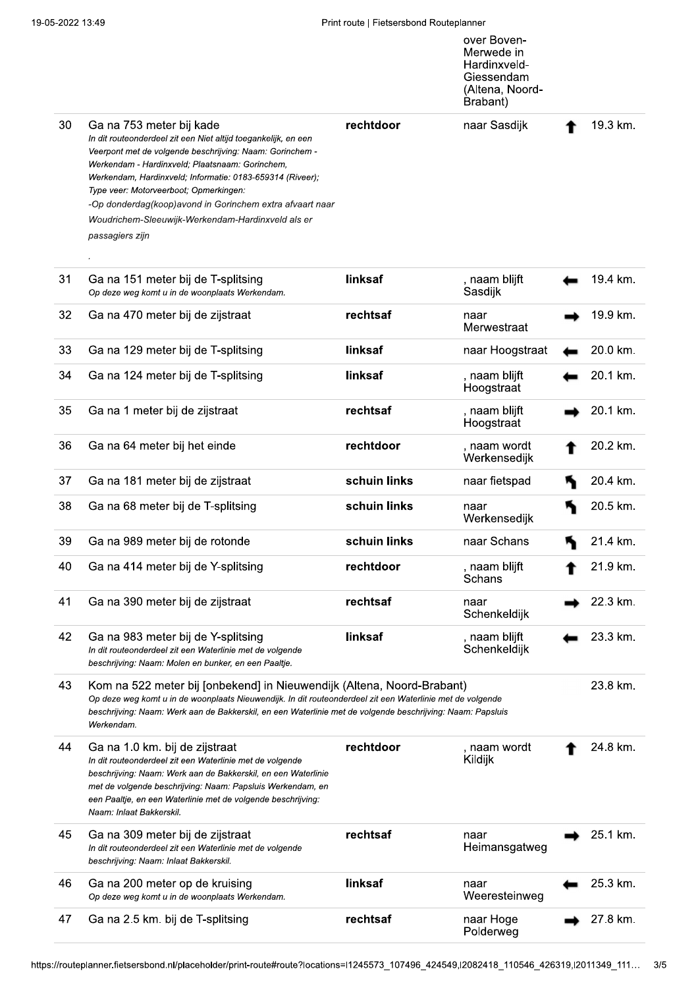|    |                                                                                                                                                                                                                                                                                                                                                                                                                                                      |              | over Boven-<br>Merwede in<br>Hardinxveld-<br>Giessendam<br>(Altena, Noord-<br>Brabant) |          |          |
|----|------------------------------------------------------------------------------------------------------------------------------------------------------------------------------------------------------------------------------------------------------------------------------------------------------------------------------------------------------------------------------------------------------------------------------------------------------|--------------|----------------------------------------------------------------------------------------|----------|----------|
| 30 | Ga na 753 meter bij kade<br>In dit routeonderdeel zit een Niet altijd toegankelijk, en een<br>Veerpont met de volgende beschrijving: Naam: Gorinchem -<br>Werkendam - Hardinxveld; Plaatsnaam: Gorinchem,<br>Werkendam, Hardinxveld; Informatie: 0183-659314 (Riveer);<br>Type veer: Motorveerboot; Opmerkingen:<br>-Op donderdag(koop)avond in Gorinchem extra afvaart naar<br>Woudrichem-Sleeuwijk-Werkendam-Hardinxveld als er<br>passagiers zijn | rechtdoor    | naar Sasdijk                                                                           |          | 19.3 km. |
| 31 | Ga na 151 meter bij de T-splitsing<br>Op deze weg komt u in de woonplaats Werkendam.                                                                                                                                                                                                                                                                                                                                                                 | linksaf      | , naam blijft<br>Sasdijk                                                               |          | 19.4 km. |
| 32 | Ga na 470 meter bij de zijstraat                                                                                                                                                                                                                                                                                                                                                                                                                     | rechtsaf     | naar<br>Merwestraat                                                                    |          | 19.9 km. |
| 33 | Ga na 129 meter bij de T-splitsing                                                                                                                                                                                                                                                                                                                                                                                                                   | linksaf      | naar Hoogstraat                                                                        |          | 20.0 km. |
| 34 | Ga na 124 meter bij de T-splitsing                                                                                                                                                                                                                                                                                                                                                                                                                   | linksaf      | , naam blijft<br>Hoogstraat                                                            |          | 20.1 km. |
| 35 | Ga na 1 meter bij de zijstraat                                                                                                                                                                                                                                                                                                                                                                                                                       | rechtsaf     | , naam blijft<br>Hoogstraat                                                            |          | 20.1 km. |
| 36 | Ga na 64 meter bij het einde                                                                                                                                                                                                                                                                                                                                                                                                                         | rechtdoor    | , naam wordt<br>Werkensedijk                                                           |          | 20.2 km. |
| 37 | Ga na 181 meter bij de zijstraat                                                                                                                                                                                                                                                                                                                                                                                                                     | schuin links | naar fietspad                                                                          |          | 20.4 km. |
| 38 | Ga na 68 meter bij de T-splitsing                                                                                                                                                                                                                                                                                                                                                                                                                    | schuin links | naar<br>Werkensedijk                                                                   |          | 20.5 km. |
| 39 | Ga na 989 meter bij de rotonde                                                                                                                                                                                                                                                                                                                                                                                                                       | schuin links | naar Schans                                                                            |          | 21.4 km. |
| 40 | Ga na 414 meter bij de Y-splitsing                                                                                                                                                                                                                                                                                                                                                                                                                   | rechtdoor    | , naam blijft<br>Schans                                                                |          | 21.9 km. |
| 41 | Ga na 390 meter bij de zijstraat                                                                                                                                                                                                                                                                                                                                                                                                                     | rechtsaf     | naar<br>Schenkeldijk                                                                   |          | 22.3 km. |
| 42 | Ga na 983 meter bij de Y-splitsing<br>In dit routeonderdeel zit een Waterlinie met de volgende<br>beschrijving: Naam: Molen en bunker, en een Paaltje.                                                                                                                                                                                                                                                                                               | linksaf      | , naam blijft<br>Schenkeldijk                                                          |          | 23.3 km. |
| 43 | Kom na 522 meter bij [onbekend] in Nieuwendijk (Altena, Noord-Brabant)<br>Op deze weg komt u in de woonplaats Nieuwendijk. In dit routeonderdeel zit een Waterlinie met de volgende<br>beschrijving: Naam: Werk aan de Bakkerskil, en een Waterlinie met de volgende beschrijving: Naam: Papsluis<br>Werkendam.                                                                                                                                      |              |                                                                                        | 23.8 km. |          |
| 44 | Ga na 1.0 km. bij de zijstraat<br>In dit routeonderdeel zit een Waterlinie met de volgende<br>beschrijving: Naam: Werk aan de Bakkerskil, en een Waterlinie<br>met de volgende beschrijving: Naam: Papsluis Werkendam, en<br>een Paaltje, en een Waterlinie met de volgende beschrijving:<br>Naam: Inlaat Bakkerskil.                                                                                                                                | rechtdoor    | , naam wordt<br>Kildijk                                                                |          | 24.8 km. |
| 45 | Ga na 309 meter bij de zijstraat<br>In dit routeonderdeel zit een Waterlinie met de volgende<br>beschrijving: Naam: Inlaat Bakkerskil.                                                                                                                                                                                                                                                                                                               | rechtsaf     | naar<br>Heimansgatweg                                                                  |          | 25.1 km. |
| 46 | Ga na 200 meter op de kruising<br>Op deze weg komt u in de woonplaats Werkendam.                                                                                                                                                                                                                                                                                                                                                                     | linksaf      | naar<br>Weeresteinweg                                                                  |          | 25.3 km. |
| 47 | Ga na 2.5 km. bij de T-splitsing                                                                                                                                                                                                                                                                                                                                                                                                                     | rechtsaf     | naar Hoge<br>Polderweg                                                                 |          | 27.8 km. |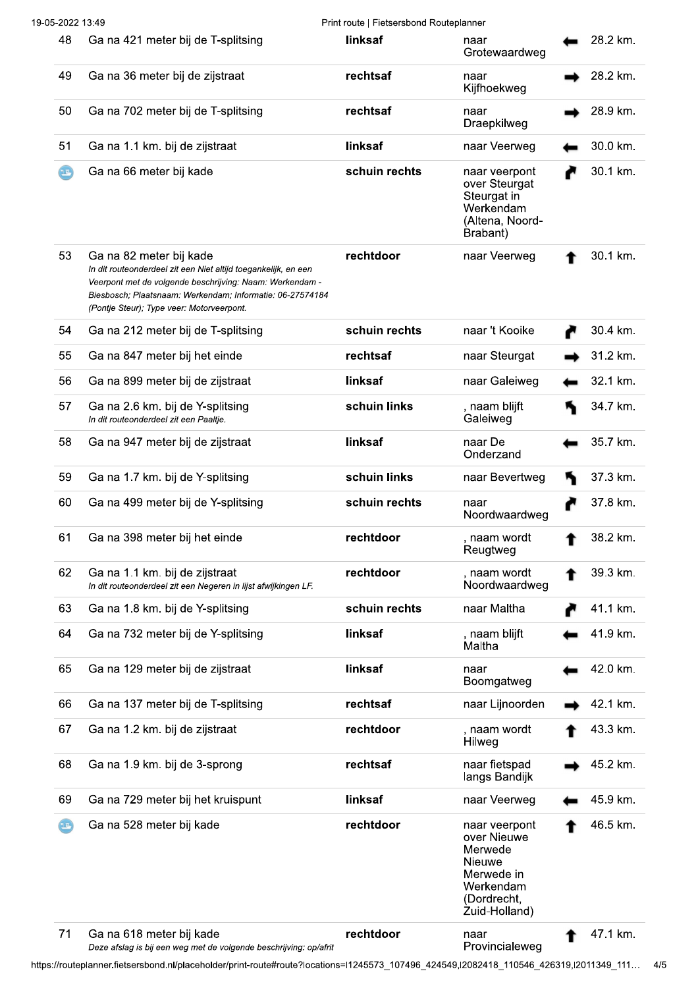| 19-05-2022 13:49<br>Print route   Fietsersbond Routeplanner |                                                                                                                                                                                                                                                                 |               |                                                                                                              |  |          |
|-------------------------------------------------------------|-----------------------------------------------------------------------------------------------------------------------------------------------------------------------------------------------------------------------------------------------------------------|---------------|--------------------------------------------------------------------------------------------------------------|--|----------|
| 48                                                          | Ga na 421 meter bij de T-splitsing                                                                                                                                                                                                                              | linksaf       | naar<br>Grotewaardweg                                                                                        |  | 28.2 km. |
| 49                                                          | Ga na 36 meter bij de zijstraat                                                                                                                                                                                                                                 | rechtsaf      | naar<br>Kijfhoekweg                                                                                          |  | 28.2 km. |
| 50                                                          | Ga na 702 meter bij de T-splitsing                                                                                                                                                                                                                              | rechtsaf      | naar<br>Draepkilweg                                                                                          |  | 28.9 km. |
| 51                                                          | Ga na 1.1 km. bij de zijstraat                                                                                                                                                                                                                                  | linksaf       | naar Veerweg                                                                                                 |  | 30.0 km. |
| $\bm \Theta$                                                | Ga na 66 meter bij kade                                                                                                                                                                                                                                         | schuin rechts | naar veerpont<br>over Steurgat<br>Steurgat in<br>Werkendam<br>(Altena, Noord-<br>Brabant)                    |  | 30.1 km. |
| 53                                                          | Ga na 82 meter bij kade<br>In dit routeonderdeel zit een Niet altijd toegankelijk, en een<br>Veerpont met de volgende beschrijving: Naam: Werkendam -<br>Biesbosch; Plaatsnaam: Werkendam; Informatie: 06-27574184<br>(Pontje Steur); Type veer: Motorveerpont. | rechtdoor     | naar Veerweg                                                                                                 |  | 30.1 km. |
| 54                                                          | Ga na 212 meter bij de T-splitsing                                                                                                                                                                                                                              | schuin rechts | naar 't Kooike                                                                                               |  | 30.4 km. |
| 55                                                          | Ga na 847 meter bij het einde                                                                                                                                                                                                                                   | rechtsaf      | naar Steurgat                                                                                                |  | 31.2 km. |
| 56                                                          | Ga na 899 meter bij de zijstraat                                                                                                                                                                                                                                | linksaf       | naar Galeiweg                                                                                                |  | 32.1 km. |
| 57                                                          | Ga na 2.6 km. bij de Y-splitsing<br>In dit routeonderdeel zit een Paaltje.                                                                                                                                                                                      | schuin links  | , naam blijft<br>Galeiweg                                                                                    |  | 34.7 km. |
| 58                                                          | Ga na 947 meter bij de zijstraat                                                                                                                                                                                                                                | linksaf       | naar De<br>Onderzand                                                                                         |  | 35.7 km. |
| 59                                                          | Ga na 1.7 km. bij de Y-splitsing                                                                                                                                                                                                                                | schuin links  | naar Bevertweg                                                                                               |  | 37.3 km. |
| 60                                                          | Ga na 499 meter bij de Y-splitsing                                                                                                                                                                                                                              | schuin rechts | naar<br>Noordwaardweg                                                                                        |  | 37.8 km. |
| 61                                                          | Ga na 398 meter bij het einde                                                                                                                                                                                                                                   | rechtdoor     | , naam wordt<br>Reugtweg                                                                                     |  | 38.2 km. |
| 62                                                          | Ga na 1.1 km. bij de zijstraat<br>In dit routeonderdeel zit een Negeren in lijst afwijkingen LF.                                                                                                                                                                | rechtdoor     | , naam wordt<br>Noordwaardweg                                                                                |  | 39.3 km. |
| 63                                                          | Ga na 1.8 km. bij de Y-splitsing                                                                                                                                                                                                                                | schuin rechts | naar Maltha                                                                                                  |  | 41.1 km. |
| 64                                                          | Ga na 732 meter bij de Y-splitsing                                                                                                                                                                                                                              | linksaf       | , naam blijft<br>Maltha                                                                                      |  | 41.9 km. |
| 65                                                          | Ga na 129 meter bij de zijstraat                                                                                                                                                                                                                                | linksaf       | naar<br>Boomgatweg                                                                                           |  | 42.0 km. |
| 66                                                          | Ga na 137 meter bij de T-splitsing                                                                                                                                                                                                                              | rechtsaf      | naar Lijnoorden                                                                                              |  | 42.1 km. |
| 67                                                          | Ga na 1.2 km. bij de zijstraat                                                                                                                                                                                                                                  | rechtdoor     | , naam wordt<br>Hilweg                                                                                       |  | 43.3 km. |
| 68                                                          | Ga na 1.9 km. bij de 3-sprong                                                                                                                                                                                                                                   | rechtsaf      | naar fietspad<br>langs Bandijk                                                                               |  | 45.2 km. |
| 69                                                          | Ga na 729 meter bij het kruispunt                                                                                                                                                                                                                               | linksaf       | naar Veerweg                                                                                                 |  | 45.9 km. |
| $\bm{\bm{\odot}}$                                           | Ga na 528 meter bij kade                                                                                                                                                                                                                                        | rechtdoor     | naar veerpont<br>over Nieuwe<br>Merwede<br>Nieuwe<br>Merwede in<br>Werkendam<br>(Dordrecht,<br>Zuid-Holland) |  | 46.5 km. |
| 71                                                          | Ga na 618 meter bij kade                                                                                                                                                                                                                                        | rechtdoor     | naar                                                                                                         |  | 47.1 km. |

naar<br>Provincialeweg Deze afslag is bij een weg met de volgende beschrijving: op/afrit

https://routeplanner.fietsersbond.nl/placeholder/print-route#route?locations=l1245573\_107496\_424549,l2082418\_110546\_426319,l2011349\_111... 4/5